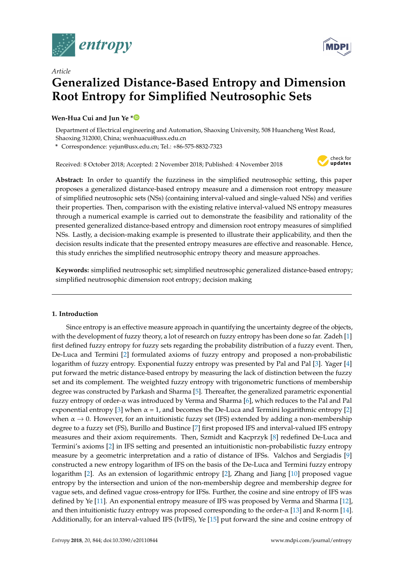



# *Article* **Generalized Distance-Based Entropy and Dimension Root Entropy for Simplified Neutrosophic Sets**

# **Wen-Hua Cui and Jun Ye [\\*](https://orcid.org/0000-0003-2841-6529)**

Department of Electrical engineering and Automation, Shaoxing University, 508 Huancheng West Road, Shaoxing 312000, China; wenhuacui@usx.edu.cn

**\*** Correspondence: yejun@usx.edu.cn; Tel.: +86-575-8832-7323

Received: 8 October 2018; Accepted: 2 November 2018; Published: 4 November 2018



**Abstract:** In order to quantify the fuzziness in the simplified neutrosophic setting, this paper proposes a generalized distance-based entropy measure and a dimension root entropy measure of simplified neutrosophic sets (NSs) (containing interval-valued and single-valued NSs) and verifies their properties. Then, comparison with the existing relative interval-valued NS entropy measures through a numerical example is carried out to demonstrate the feasibility and rationality of the presented generalized distance-based entropy and dimension root entropy measures of simplified NSs. Lastly, a decision-making example is presented to illustrate their applicability, and then the decision results indicate that the presented entropy measures are effective and reasonable. Hence, this study enriches the simplified neutrosophic entropy theory and measure approaches.

**Keywords:** simplified neutrosophic set; simplified neutrosophic generalized distance-based entropy; simplified neutrosophic dimension root entropy; decision making

## **1. Introduction**

Since entropy is an effective measure approach in quantifying the uncertainty degree of the objects, with the development of fuzzy theory, a lot of research on fuzzy entropy has been done so far. Zadeh [\[1\]](#page-10-0) first defined fuzzy entropy for fuzzy sets regarding the probability distribution of a fuzzy event. Then, De-Luca and Termini [\[2\]](#page-11-0) formulated axioms of fuzzy entropy and proposed a non-probabilistic logarithm of fuzzy entropy. Exponential fuzzy entropy was presented by Pal and Pal [\[3\]](#page-11-1). Yager [\[4\]](#page-11-2) put forward the metric distance-based entropy by measuring the lack of distinction between the fuzzy set and its complement. The weighted fuzzy entropy with trigonometric functions of membership degree was constructed by Parkash and Sharma [\[5\]](#page-11-3). Thereafter, the generalized parametric exponential fuzzy entropy of order-α was introduced by Verma and Sharma [\[6\]](#page-11-4), which reduces to the Pal and Pal exponential entropy [\[3\]](#page-11-1) when  $\alpha = 1$ , and becomes the De-Luca and Termini logarithmic entropy [\[2\]](#page-11-0) when  $\alpha \rightarrow 0$ . However, for an intuitionistic fuzzy set (IFS) extended by adding a non-membership degree to a fuzzy set (FS), Burillo and Bustince [\[7\]](#page-11-5) first proposed IFS and interval-valued IFS entropy measures and their axiom requirements. Then, Szmidt and Kacprzyk [\[8\]](#page-11-6) redefined De-Luca and Termini's axioms [\[2\]](#page-11-0) in IFS setting and presented an intuitionistic non-probabilistic fuzzy entropy measure by a geometric interpretation and a ratio of distance of IFSs. Valchos and Sergiadis [\[9\]](#page-11-7) constructed a new entropy logarithm of IFS on the basis of the De-Luca and Termini fuzzy entropy logarithm [\[2\]](#page-11-0). As an extension of logarithmic entropy [\[2\]](#page-11-0), Zhang and Jiang [\[10\]](#page-11-8) proposed vague entropy by the intersection and union of the non-membership degree and membership degree for vague sets, and defined vague cross-entropy for IFSs. Further, the cosine and sine entropy of IFS was defined by Ye [\[11\]](#page-11-9). An exponential entropy measure of IFS was proposed by Verma and Sharma [\[12\]](#page-11-10), and then intuitionistic fuzzy entropy was proposed corresponding to the order- $\alpha$  [\[13\]](#page-11-11) and R-norm [\[14\]](#page-11-12). Additionally, for an interval-valued IFS (IvIFS), Ye [\[15\]](#page-11-13) put forward the sine and cosine entropy of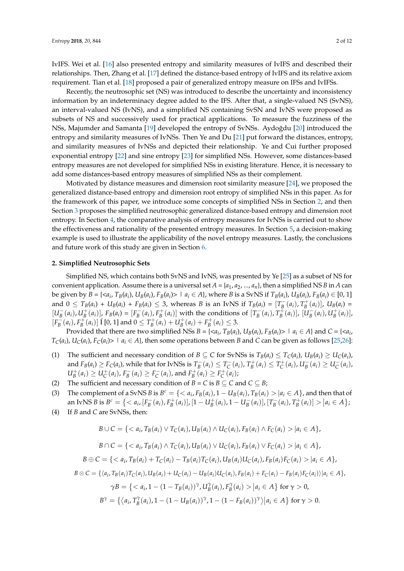IvIFS. Wei et al. [\[16\]](#page-11-14) also presented entropy and similarity measures of IvIFS and described their relationships. Then, Zhang et al. [\[17\]](#page-11-15) defined the distance-based entropy of IvIFS and its relative axiom requirement. Tian et al. [\[18\]](#page-11-16) proposed a pair of generalized entropy measure on IFSs and IvIFSs.

Recently, the neutrosophic set (NS) was introduced to describe the uncertainty and inconsistency information by an indeterminacy degree added to the IFS. After that, a single-valued NS (SvNS), an interval-valued NS (IvNS), and a simplified NS containing SvSN and IvNS were proposed as subsets of NS and successively used for practical applications. To measure the fuzziness of the NSs, Majumder and Samanta [\[19\]](#page-11-17) developed the entropy of SvNSs. Aydoğdu [\[20\]](#page-11-18) introduced the entropy and similarity measures of IvNSs. Then Ye and Du [\[21\]](#page-11-19) put forward the distances, entropy, and similarity measures of IvNSs and depicted their relationship. Ye and Cui further proposed exponential entropy [\[22\]](#page-11-20) and sine entropy [\[23\]](#page-11-21) for simplified NSs. However, some distances-based entropy measures are not developed for simplified NSs in existing literature. Hence, it is necessary to add some distances-based entropy measures of simplified NSs as their complement.

Motivated by distance measures and dimension root similarity measure [\[24\]](#page-11-22), we proposed the generalized distance-based entropy and dimension root entropy of simplified NSs in this paper. As for the framework of this paper, we introduce some concepts of simplified NSs in Section [2,](#page-1-0) and then Section [3](#page-2-0) proposes the simplified neutrosophic generalized distance-based entropy and dimension root entropy. In Section [4,](#page-7-0) the comparative analysis of entropy measures for IvNSs is carried out to show the effectiveness and rationality of the presented entropy measures. In Section [5,](#page-9-0) a decision-making example is used to illustrate the applicability of the novel entropy measures. Lastly, the conclusions and future work of this study are given in Section [6.](#page-10-1)

#### <span id="page-1-0"></span>**2. Simplified Neutrosophic Sets**

Simplified NS, which contains both SvNS and IvNS, was presented by Ye [\[25\]](#page-11-23) as a subset of NS for convenient application. Assume there is a universal set  $A = \{a_1, a_2, ..., a_n\}$ , then a simplified NS *B* in *A* can be given by  $B = \{ \langle a_i, T_B(a_i), U_B(a_i), F_B(a_i) \rangle \mid a_i \in A \}$ , where B is a SvNS if  $T_B(a_i)$ ,  $U_B(a_i)$ ,  $F_B(a_i) \in [0, 1]$ and  $0 \le T_B(a_i) + U_B(a_i) + F_B(a_i) \le 3$ , whereas B is an IvNS if  $T_B(a_i) = [T_B^-(a_i), T_B^+(a_i)]$ ,  $U_B(a_i) =$  $[U_B^-(a_i), U_B^+(a_i)]$ ,  $F_B(a_i) = [F_B^-(a_i), F_B^+(a_i)]$  with the conditions of  $[T_B^-(a_i), T_B^+(a_i)]$ ,  $[U_B^-(a_i), U_B^+(a_i)]$ ,  $[F_B^-(a_i), F_B^+(a_i)]$  I [0, 1] and  $0 \le T_B^+(a_i) + U_B^+(a_i) + F_B^+(a_i) \le 3$ .

Provided that there are two simplified NSs  $B = \{ \langle a_i, T_B(a_i), U_B(a_i), F_B(a_i) \rangle \mid a_i \in A \}$  and  $C = \{ \langle a_i, T_B(a_i), U_B(a_i), F_B(a_i) \rangle \mid a_i \in A \}$  $T_C(a_i)$ ,  $U_C(a_i)$ ,  $F_C(a_i)$  |  $a_i \in A$ }, then some operations between B and C can be given as follows [\[25](#page-11-23)[,26\]](#page-11-24):

- (1) The sufficient and necessary condition of  $B \subseteq C$  for SvNSs is  $T_B(a_i) \leq T_C(a_i)$ ,  $U_B(a_i) \geq U_C(a_i)$ , and  $F_B(a_i) \ge F_C(a_i)$ , while that for IvNSs is  $T_B^-(a_i) \le T_C^-(a_i)$ ,  $T_B^+(a_i) \le T_C^+(a_i)$ ,  $U_B^-(a_i) \ge U_C^-(a_i)$ ,  $U_B^+(a_i) \geq U_C^+(a_i)$ ,  $F_B^-(a_i) \geq F_C^-(a_i)$ , and  $F_B^+(\overline{a_i}) \geq F_C^+(\overline{a_i})$ ;
- (2) The sufficient and necessary condition of *B* = *C* is *B*  $\subseteq$  *C* and *C*  $\subseteq$  *B*;
- (3) The complement of a SvNS *B* is  $B^c = \{ \langle a_i, F_B(a_i), 1 U_B(a_i), T_B(a_i) \rangle | a_i \in A \}$ , and then that of an IvNS B is  $B^c = \{ \langle a_i, [F_B^-(a_i), F_B^+(a_i)], [1 - U_B^+(a_i), 1 - U_B^-(a_i)], [T_B^-(a_i), T_B^+(a_i)] \rangle | a_i \in A \}$
- (4) If *B* and *C* are SvNSs, then:

$$
B \cup C = \{ \langle a_i, T_B(a_i) \vee T_C(a_i), U_B(a_i) \wedge U_C(a_i), F_B(a_i) \wedge F_C(a_i) \rangle | a_i \in A \},
$$

$$
B \cap C = \{ \langle a_i, T_B(a_i) \land T_C(a_i), U_B(a_i) \lor U_C(a_i), F_B(a_i) \lor F_C(a_i) \rangle | a_i \in A \},
$$

$$
B \oplus C = \{ \langle a_i, T_B(a_i) + T_C(a_i) - T_B(a_i) T_C(a_i), U_B(a_i) U_C(a_i), F_B(a_i) F_C(a_i) \rangle | a_i \in A \},
$$

 $B \otimes C = \{ \langle a_i, T_B(a_i) T_C(a_i), U_B(a_i) + U_C(a_i) - U_B(a_i) U_C(a_i), F_B(a_i) + F_C(a_i) - F_B(a_i) F_C(a_i) \rangle | a_i \in A \},$ 

$$
\gamma B = \left\{ \langle a_i, 1 - (1 - T_B(a_i))^{\gamma}, U_B^{\gamma}(a_i), F_B^{\gamma}(a_i) \rangle | a_i \in A \right\} \text{ for } \gamma > 0,
$$

$$
B^{\gamma} = \left\{ \left\langle a_i, T_B^{\gamma}(a_i), 1 - (1 - U_B(a_i))^{\gamma}, 1 - (1 - F_B(a_i))^{\gamma} \right\rangle | a_i \in A \right\} \text{ for } \gamma > 0.
$$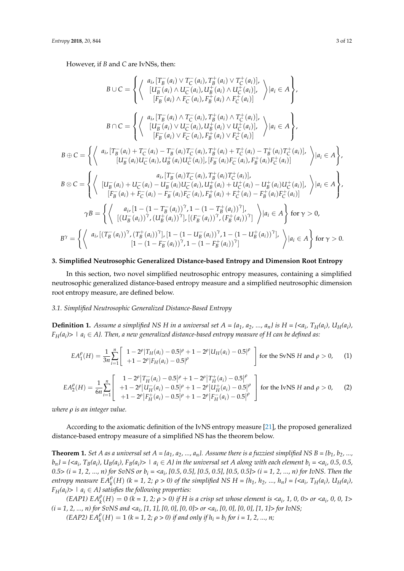However, if *B* and *C* are IvNSs, then:

$$
B \cup C = \left\{ \left\langle \begin{array}{c} a_{i}, [T_{B}^{-}(a_{i}) \vee T_{C}^{-}(a_{i}), T_{B}^{+}(a_{i}) \vee T_{C}^{+}(a_{i})], \\ [U_{B}^{-}(a_{i}) \wedge U_{C}^{-}(a_{i}), U_{B}^{+}(a_{i}) \wedge U_{C}^{+}(a_{i})], \\ [F_{B}^{-}(a_{i}) \wedge F_{C}^{-}(a_{i}), F_{B}^{+}(a_{i}) \wedge F_{C}^{+}(a_{i})] \end{array} \right\rangle |a_{i} \in A \right\},
$$
  
\n
$$
B \cap C = \left\{ \left\langle \begin{array}{c} a_{i}, [T_{B}^{-}(a_{i}) \wedge T_{C}^{-}(a_{i}), T_{B}^{+}(a_{i}) \wedge T_{C}^{+}(a_{i})], \\ [U_{B}^{-}(a_{i}) \vee U_{C}^{-}(a_{i}), U_{B}^{+}(a_{i}) \vee U_{C}^{+}(a_{i})] \end{array} \right\rangle |a_{i} \in A \right\},
$$
  
\n
$$
B \oplus C = \left\{ \left\langle \begin{array}{c} a_{i}, [T_{B}^{-}(a_{i}) \vee T_{C}^{-}(a_{i}), T_{B}^{+}(a_{i}) \vee T_{C}^{+}(a_{i})], \\ [U_{B}^{-}(a_{i}) \vee F_{C}^{-}(a_{i}), T_{B}^{+}(a_{i}) \vee F_{C}^{+}(a_{i})] \end{array} \right\rangle |a_{i} \in A \right\},
$$
  
\n
$$
B \oplus C = \left\{ \left\langle \begin{array}{c} a_{i}, [T_{B}^{-}(a_{i}) + T_{C}^{-}(a_{i}) - T_{B}^{-}(a_{i})T_{C}^{-}(a_{i}), T_{B}^{+}(a_{i}) \vee F_{C}^{+}(a_{i})], \\ [U_{B}^{-}(a_{i}) U_{C}^{-}(a_{i}), U_{B}^{+}(a_{i}) \vee F_{C}^{+}(a_{i})] \end{array} \right\rangle |a_{i} \in A \right\},
$$
  
\n
$$
B \otimes C = \left\{ \left\langle \begin{array}{c} a_{i}, [T_{B}^{-}(a_{i}) - T_{B}^{-}(a_{i})T_{C}^{-}(a_{i}), T
$$

#### <span id="page-2-0"></span>**3. Simplified Neutrosophic Generalized Distance-based Entropy and Dimension Root Entropy**

In this section, two novel simplified neutrosophic entropy measures, containing a simplified neutrosophic generalized distance-based entropy measure and a simplified neutrosophic dimension root entropy measure, are defined below.

### *3.1. Simplified Neutrosophic Generalized Distance-Based Entropy*

**Definition 1.** Assume a simplified NS H in a universal set  $A = \{a_1, a_2, ..., a_n\}$  is  $H = \{\langle a_i, T_H(a_i), U_H(a_i), \rangle\}$ *FH(a<sup>i</sup> )> | a<sup>i</sup>* ∈ *A}. Then, a new generalized distance-based entropy measure of H can be defined as:*

$$
EA_1^{\rho}(H) = \frac{1}{3n} \sum_{i=1}^{n} \begin{bmatrix} 1 - 2^{\rho} |T_H(a_i) - 0.5|^{\rho} + 1 - 2^{\rho} |U_H(a_i) - 0.5|^{\rho} \\ + 1 - 2^{\rho} |F_H(a_i) - 0.5|^{\rho} \end{bmatrix}
$$
 for the SvNS H and  $\rho > 0$ , (1)  
\n
$$
EA_2^{\rho}(H) = \frac{1}{6n} \sum_{i=1}^{n} \begin{bmatrix} 1 - 2^{\rho} |T_H^-(a_i) - 0.5|^{\rho} + 1 - 2^{\rho} |T_H^+(a_i) - 0.5|^{\rho} \\ + 1 - 2^{\rho} |U_H^-(a_i) - 0.5|^{\rho} + 1 - 2^{\rho} |U_H^+(a_i) - 0.5|^{\rho} \end{bmatrix}
$$
 for the IvNS H and  $\rho > 0$ , (2)

*where ρ is an integer value.*

According to the axiomatic definition of the IvNS entropy measure [\[21\]](#page-11-19), the proposed generalized distance-based entropy measure of a simplified NS has the theorem below.

**Theorem 1.** Set A as a universal set  $A = \{a_1, a_2, ..., a_n\}$ . Assume there is a fuzziest simplified NS  $B = \{b_1, b_2, ..., b_n\}$  $b_n$ } = {<a<sub>i</sub>, T<sub>B</sub>(a<sub>i</sub>), U<sub>B</sub>(a<sub>i</sub>), F<sub>B</sub>(a<sub>i</sub>)> | a<sub>i</sub> ∈ A} in the universal set A along with each element b<sub>i</sub> = <a<sub>i</sub>, 0.5, 0.5, *0.5> (i = 1, 2, ..., n) for SvNS or b<sup>i</sup> = <a<sup>i</sup> , [0.5, 0.5], [0.5, 0.5], [0.5, 0.5]> (i = 1, 2, ..., n) for IvNS. Then the* entropy measure  $EA_k^{\rho}(H)$  (k = 1, 2;  $\rho > 0$ ) of the simplified NS H = { $h_1, h_2, ..., h_n$ } = { $,  $T_H(a_i)$ ,  $U_H(a_i)$ ,$  $F_H(a_i)$  >  $|a_i \in A$ *} satisfies the following properties:* 

*(EAP1)*  $EA_k^{\rho}(H) = 0$  *(k = 1, 2;*  $\rho > 0$ *) if H is a crisp set whose element is <a<sub><i>i*</sub>, 1, 0, 0> or <a<sub>*i*</sub>, 0, 0, 1> *(i = 1, 2, ..., n) for SvNS and <a<sup>i</sup> , [1, 1], [0, 0], [0, 0]> or <a<sup>i</sup> , [0, 0], [0, 0], [1, 1]> for IvNS; (EAP2)*  $EA_k^{\rho}(H) = 1$  *(k = 1, 2;*  $\rho > 0$ *) if and only if*  $h_i = b_i$  *for*  $i = 1, 2, ..., n$ *;*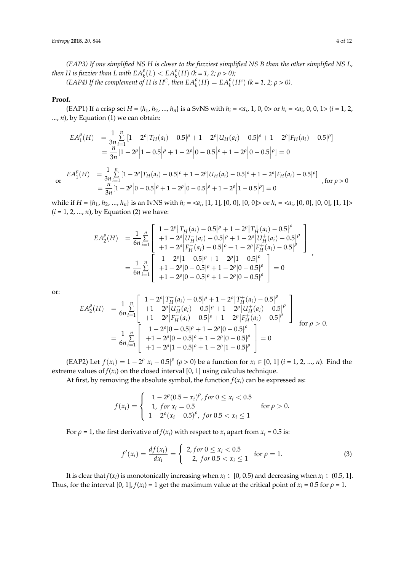*(EAP3) If one simplified NS H is closer to the fuzziest simplified NS B than the other simplified NS L, then H* is fuzzier than L with  $EA_k^{\rho}(L) < E A_k^{\rho}(H)$  (k = 1, 2;  $\rho > 0$ );

*(EAP4) If the complement of H is H<sup>C</sup>, then*  $EA_k^{\rho}(H) = EA_k^{\rho}(H^c)$  $(k = 1, 2; \rho > 0)$ *.* 

#### **Proof.**

(EAP1) If a crisp set  $H = \{h_1, h_2, ..., h_n\}$  is a SvNS with  $h_i = \langle a_i, 1, 0, 0 \rangle$  or  $h_i = \langle a_i, 0, 0, 1 \rangle$  (*i* = 1, 2, ..., *n*), by Equation (1) we can obtain:

$$
EA_1^{\rho}(H) = \frac{1}{3n} \sum_{i=1}^{n} \left[1 - 2^{\rho}\right]T_H(a_i) - 0.5|^{\rho} + 1 - 2^{\rho}\left|U_H(a_i) - 0.5|^{\rho} + 1 - 2^{\rho}\right|F_H(a_i) - 0.5|^{\rho}\n= \frac{n}{3n} \left[1 - 2^{\rho}\right]1 - 0.5^{\rho} + 1 - 2^{\rho}\left|0 - 0.5\right|^{\rho} + 1 - 2^{\rho}\left|0 - 0.5\right|^{\rho}\n= 0
$$
\n
$$
EA_1^{\rho}(H) = \frac{1}{3n} \sum_{i=1}^{n} \left[1 - 2^{\rho}\right]T_H(a_i) - 0.5^{\rho} + 1 - 2^{\rho}\left|U_H(a_i) - 0.5\right|^{\rho} + 1 - 2^{\rho}\left|F_H(a_i) - 0.5\right|^{\rho}\n= \frac{n}{3n} \left[1 - 2^{\rho}\right]0 - 0.5^{\rho} + 1 - 2^{\rho}\left|0 - 0.5\right|^{\rho} + 1 - 2^{\rho}\left|1 - 0.5\right|^{\rho}\n= 0
$$
\nfor  $\rho > 0$ 

or

while if  $H = \{h_1, h_2, ..., h_n\}$  is an IvNS with  $h_i = \langle a_i, [1, 1], [0, 0], [0, 0] \rangle$  or  $h_i = \langle a_i, [0, 0], [0, 0], [1, 1] \rangle$  $(i = 1, 2, ..., n)$ , by Equation (2) we have:

$$
EA_2^{\rho}(H) = \frac{1}{6n} \sum_{i=1}^n \begin{bmatrix} 1 - 2^{\rho} | T_H^-(a_i) - 0.5 |^{\rho} + 1 - 2^{\rho} | T_H^+(a_i) - 0.5 |^{\rho} \\ + 1 - 2^{\rho} | U_H^-(a_i) - 0.5 |^{\rho} + 1 - 2^{\rho} | U_H^+(a_i) - 0.5 |^{\rho} \\ + 1 - 2^{\rho} | F_H^-(a_i) - 0.5 |^{\rho} + 1 - 2^{\rho} | F_H^+(a_i) - 0.5 |^{\rho} \end{bmatrix}
$$
  
= 
$$
\frac{1}{6n} \sum_{i=1}^n \begin{bmatrix} 1 - 2^{\rho} | 1 - 0.5 |^{\rho} + 1 - 2^{\rho} | 1 - 0.5 |^{\rho} \\ + 1 - 2^{\rho} | 0 - 0.5 |^{\rho} + 1 - 2^{\rho} | 0 - 0.5 |^{\rho} \\ + 1 - 2^{\rho} | 0 - 0.5 |^{\rho} + 1 - 2^{\rho} | 0 - 0.5 |^{\rho} \end{bmatrix} = 0
$$

or:

$$
EA_2^{\rho}(H) = \frac{1}{6n} \sum_{i=1}^n \begin{bmatrix} 1 - 2^{\rho} | T_H^-(a_i) - 0.5 |^{\rho} + 1 - 2^{\rho} | T_H^+(a_i) - 0.5 |^{\rho} \\ + 1 - 2^{\rho} | U_H^-(a_i) - 0.5 |^{\rho} + 1 - 2^{\rho} | U_H^+(a_i) - 0.5 |^{\rho} \\ + 1 - 2^{\rho} | F_H^-(a_i) - 0.5 |^{\rho} + 1 - 2^{\rho} | F_H^+(a_i) - 0.5 |^{\rho} \end{bmatrix}
$$
  
=  $\frac{1}{6n} \sum_{i=1}^n \begin{bmatrix} 1 - 2^{\rho} | 0 - 0.5 |^{\rho} + 1 - 2^{\rho} | 0 - 0.5 |^{\rho} \\ + 1 - 2^{\rho} | 0 - 0.5 |^{\rho} + 1 - 2^{\rho} | 0 - 0.5 |^{\rho} \\ + 1 - 2^{\rho} | 1 - 0.5 |^{\rho} + 1 - 2^{\rho} | 1 - 0.5 |^{\rho} \end{bmatrix} = 0$  for  $\rho > 0$ .

(EAP2) Let  $f(x_i) = 1 - 2^{\rho} |x_i - 0.5|^{\rho}$  ( $\rho > 0$ ) be a function for  $x_i \in [0, 1]$  ( $i = 1, 2, ..., n$ ). Find the extreme values of  $f(x_i)$  on the closed interval [0, 1] using calculus technique.

At first, by removing the absolute symbol, the function  $f(x_i)$  can be expressed as:

$$
f(x_i) = \begin{cases} 1 - 2^{\rho} (0.5 - x_i)^{\rho}, \text{ for } 0 \le x_i < 0.5\\ 1, \text{ for } x_i = 0.5\\ 1 - 2^{\rho} (x_i - 0.5)^{\rho}, \text{ for } 0.5 < x_i \le 1 \end{cases} \quad \text{for } \rho > 0.
$$

For  $\rho = 1$ , the first derivative of  $f(x_i)$  with respect to  $x_i$  apart from  $x_i = 0.5$  is:

$$
f'(x_i) = \frac{df(x_i)}{dx_i} = \begin{cases} 2, \text{ for } 0 \le x_i < 0.5 \\ -2, \text{ for } 0.5 < x_i \le 1 \end{cases} \quad \text{for } \rho = 1. \tag{3}
$$

It is clear that  $f(x_i)$  is monotonically increasing when  $x_i \in [0, 0.5)$  and decreasing when  $x_i \in (0.5, 1]$ . Thus, for the interval  $[0, 1]$ ,  $f(x_i) = 1$  get the maximum value at the critical point of  $x_i = 0.5$  for  $\rho = 1$ .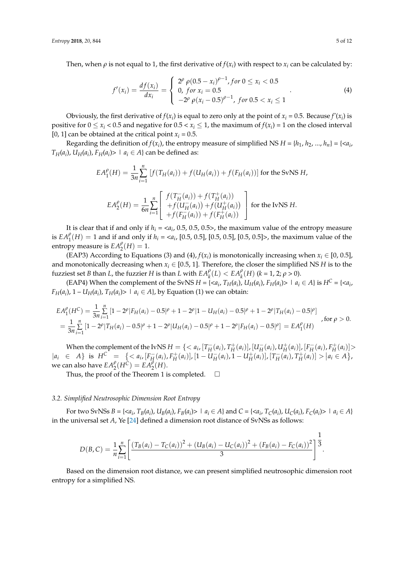Then, when  $\rho$  is not equal to 1, the first derivative of  $f(x_i)$  with respect to  $x_i$  can be calculated by:

$$
f'(x_i) = \frac{df(x_i)}{dx_i} = \begin{cases} 2^{\rho} \rho (0.5 - x_i)^{\rho - 1}, \text{ for } 0 \le x_i < 0.5\\ 0, \text{ for } x_i = 0.5\\ -2^{\rho} \rho (x_i - 0.5)^{\rho - 1}, \text{ for } 0.5 < x_i \le 1 \end{cases} \tag{4}
$$

Obviously, the first derivative of  $f(x_i)$  is equal to zero only at the point of  $x_i = 0.5$ . Because  $f'(x_i)$  is positive for  $0 \le x_i < 0.5$  and negative for  $0.5 < x_i \le 1$ , the maximum of  $f(x_i) = 1$  on the closed interval [0, 1] can be obtained at the critical point  $x_i = 0.5$ .

Regarding the definition of  $f(x_i)$ , the entropy measure of simplified NS  $H = \{h_1, h_2, ..., h_n\} = \{\langle a_i, h_i, ..., a_n\}\}$ *T*<sub>*H*</sub>(*a*<sub>*i*</sub>), *U*<sub>*H*</sub>(*a*<sub>*i*</sub>), *F*<sub>*H*</sub>(*a*<sub>*i*</sub>)>  $\mid$  *a*<sub>*i*</sub>  $\in$  *A*} can be defined as:

$$
EA_1^{\rho}(H) = \frac{1}{3n} \sum_{i=1}^n [f(T_H(a_i)) + f(U_H(a_i)) + f(F_H(a_i))]
$$
 for the SvNS H,  
\n
$$
EA_2^{\rho}(H) = \frac{1}{6n} \sum_{i=1}^n \begin{bmatrix} f(T_H^-(a_i)) + f(T_H^+(a_i)) \\ + f(U_H^-(a_i)) + f(U_H^+(a_i)) \\ + f(F_H^-(a_i)) + f(F_H^+(a_i)) \end{bmatrix}
$$
 for the IvNS H.

It is clear that if and only if  $h_i = \langle a_i, 0.5, 0.5, 0.5 \rangle$ , the maximum value of the entropy measure is  $EA_1^{\rho}(H) = 1$  and if and only if  $h_i = \langle a_i, [0.5, 0.5], [0.5, 0.5], [0.5, 0.5] \rangle$ , the maximum value of the entropy measure is  $EA_2^{\rho}(H) = 1$ .

(EAP3) According to Equations (3) and (4),  $f(x_i)$  is monotonically increasing when  $x_i \in [0, 0.5]$ , and monotonically decreasing when  $x_i \in [0.5, 1]$ . Therefore, the closer the simplified NS *H* is to the fuzziest set *B* than *L*, the fuzzier *H* is than *L* with  $EA_{k}^{\rho}(L) < EA_{k}^{\rho}(H)$  ( $k = 1, 2; \rho > 0$ ).

(EAP4) When the complement of the SvNS  $H = \{ \langle a_i, T_H(a_i), U_H(a_i), F_H(a_i) \rangle \mid a_i \in A \}$  is  $H^C = \{ \langle a_i, A \rangle \mid a_i \in A \}$ *F*<sub>*H*</sub>(*a*<sub>*i*</sub>), 1 – *U<sub><i>H*</sub>(*a*<sub>*i*</sub>), *T*<sub>*H*</sub>(*a*<sub>*i*</sub>)> | *a*<sub>*i*</sub> ∈ *A*}, by Equation (1) we can obtain:

$$
EA_1^{\rho}(H^C) = \frac{1}{3n} \sum_{i=1}^n \left[1 - 2^{\rho} |F_H(a_i) - 0.5|^{\rho} + 1 - 2^{\rho} |1 - U_H(a_i) - 0.5|^{\rho} + 1 - 2^{\rho} |T_H(a_i) - 0.5|^{\rho}\right]
$$
  
= 
$$
\frac{1}{3n} \sum_{i=1}^n \left[1 - 2^{\rho} |T_H(a_i) - 0.5|^{\rho} + 1 - 2^{\rho} |U_H(a_i) - 0.5|^{\rho} + 1 - 2^{\rho} |F_H(a_i) - 0.5|^{\rho}\right] = EA_1^{\rho}(H)
$$
 for  $\rho > 0$ .

When the complement of the IvNS  $H = \{ \langle a_i, [T_H^-(a_i), T_H^+(a_i)], [U_H^-(a_i), U_H^+(a_i)], [F_H^-(a_i), F_H^+(a_i)]\rangle \}$  $|a_i \in A\}$  is  $H^C = \{ \langle a_i, [F_H^-(a_i), F_H^+(a_i)], [1 - U_H^-(a_i), 1 - U_H^+(a_i)], [T_H^-(a_i), T_H^+(a_i)] \rangle | a_i \in A \},$ we can also have  $EA_2^{\rho}(H^{\tilde{C}}) = EA_2^{\tilde{\rho}}(H)$ .

Thus, the proof of the Theorem 1 is completed.  $\Box$ 

#### *3.2. Simplified Neutrosophic Dimension Root Entropy*

For two SvNSs  $B = \{ \langle a_i, T_B(a_i), U_B(a_i), F_B(a_i) \rangle \mid a_i \in A \}$  and  $C = \{ \langle a_i, T_C(a_i), U_C(a_i), F_C(a_i) \rangle \mid a_i \in A \}$ in the universal set *A*, Ye [\[24\]](#page-11-22) defined a dimension root distance of SvNSs as follows:

$$
D(B,C) = \frac{1}{n} \sum_{i=1}^{n} \left[ \frac{(T_B(a_i) - T_C(a_i))^2 + (U_B(a_i) - U_C(a_i))^2 + (F_B(a_i) - F_C(a_i))^2}{3} \right]^{\frac{1}{3}}.
$$

Based on the dimension root distance, we can present simplified neutrosophic dimension root entropy for a simplified NS.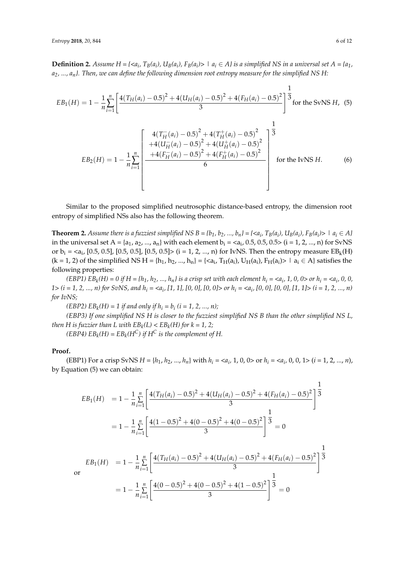**Definition 2.** Assume  $H = \{ \langle a_i, T_B(a_i), U_B(a_i), F_B(a_i) \rangle \mid a_i \in A \}$  is a simplified NS in a universal set  $A = \{a_1, a_2, \ldots, a_k\}$ *a2, ..., an}. Then, we can define the following dimension root entropy measure for the simplified NS H:*

$$
EB_1(H) = 1 - \frac{1}{n} \sum_{i=1}^{n} \left[ \frac{4(T_H(a_i) - 0.5)^2 + 4(U_H(a_i) - 0.5)^2 + 4(F_H(a_i) - 0.5)^2}{3} \right]^{\frac{1}{3}} \text{for the SwNS } H, \text{ (5)}
$$
\n
$$
EB_2(H) = 1 - \frac{1}{n} \sum_{i=1}^{n} \left[ \frac{4(T_H^-(a_i) - 0.5)^2 + 4(T_H^+(a_i) - 0.5)^2}{+4(U_H^-(a_i) - 0.5)^2 + 4(U_H^+(a_i) - 0.5)^2} \right]^{\frac{1}{3}}
$$
\n
$$
EB_2(H) = 1 - \frac{1}{n} \sum_{i=1}^{n} \left[ \frac{4(F_H^-(a_i) - 0.5)^2 + 4(T_H^+(a_i) - 0.5)^2}{6} \right] \text{for the IvNS } H. \text{ (6)}
$$

Similar to the proposed simplified neutrosophic distance-based entropy, the dimension root entropy of simplified NSs also has the following theorem.

**Theorem 2.** Assume there is a fuzziest simplified NS  $B = \{b_1, b_2, ..., b_n\} = \{\langle a_i, T_B(a_i), U_B(a_i), F_B(a_i)\rangle \mid a_i \in A\}$ in the universal set  $A = \{a_1, a_2, ..., a_n\}$  with each element  $b_i = a_i$ , 0.5, 0.5, 0.5 $\ge$  (i = 1, 2, ..., n) for SvNS or  $b_i = a_i$ , [0.5, 0.5], [0.5, 0.5], [0.5, 0.5]> (i = 1, 2, ..., n) for IvNS. Then the entropy measure  $EB_k(H)$  $(k = 1, 2)$  of the simplified NS H = { $h_1, h_2, ..., h_n$ } = { $, T<sub>H</sub>( $a_i$ ), U<sub>H</sub>( $a_i$ ), F<sub>H</sub>( $a_i$ )> |  $a_i \in A$ } satisfies the$ following properties:

(EBP1)  $EB_k(H) = 0$  if  $H = \{h_1, h_2, ..., h_n\}$  is a crisp set with each element  $h_i = \langle a_i, 1, 0, 0 \rangle$  or  $h_i = \langle a_i, 0, 0, 0 \rangle$ *1> (i = 1, 2, ..., n) for SvNS, and h<sup>i</sup> = <a<sup>i</sup> , [1, 1], [0, 0], [0, 0]> or h<sup>i</sup> = <a<sup>i</sup> , [0, 0], [0, 0], [1, 1]> (i = 1, 2, ..., n) for IvNS;*

(*EBP2*)  $EB_k(H) = 1$  *if and only if*  $h_i = b_i$  (*i* = 1, 2, ..., *n*);

*(EBP3) If one simplified NS H is closer to the fuzziest simplified NS B than the other simplified NS L, then* H is fuzzier than L with  $EB_k(L) < EB_k(H)$  for  $k = 1, 2;$ 

*(EBP4)*  $EB_k(H) = EB_k(H^C)$  *if*  $H^C$  *is the complement of*  $H$ *.* 

#### **Proof.**

(EBP1) For a crisp SvNS  $H = \{h_1, h_2, ..., h_n\}$  with  $h_i = \langle a_i, 1, 0, 0 \rangle$  or  $h_i = \langle a_i, 0, 0, 1 \rangle$   $(i = 1, 2, ..., n)$ , by Equation (5) we can obtain:

$$
EB_1(H) = 1 - \frac{1}{n} \sum_{i=1}^{n} \left[ \frac{4(T_H(a_i) - 0.5)^2 + 4(U_H(a_i) - 0.5)^2 + 4(F_H(a_i) - 0.5)^2}{3} \right]^{\frac{1}{3}}
$$
  
\n
$$
= 1 - \frac{1}{n} \sum_{i=1}^{n} \left[ \frac{4(1 - 0.5)^2 + 4(0 - 0.5)^2 + 4(0 - 0.5)^2}{3} \right]^{\frac{1}{3}} = 0
$$
  
\n
$$
EB_1(H) = 1 - \frac{1}{n} \sum_{i=1}^{n} \left[ \frac{4(T_H(a_i) - 0.5)^2 + 4(U_H(a_i) - 0.5)^2 + 4(F_H(a_i) - 0.5)^2}{3} \right]^{\frac{1}{3}}
$$
  
\n
$$
= 1 - \frac{1}{n} \sum_{i=1}^{n} \left[ \frac{4(0 - 0.5)^2 + 4(0 - 0.5)^2 + 4(1 - 0.5)^2}{3} \right]^{\frac{1}{3}} = 0
$$

**o**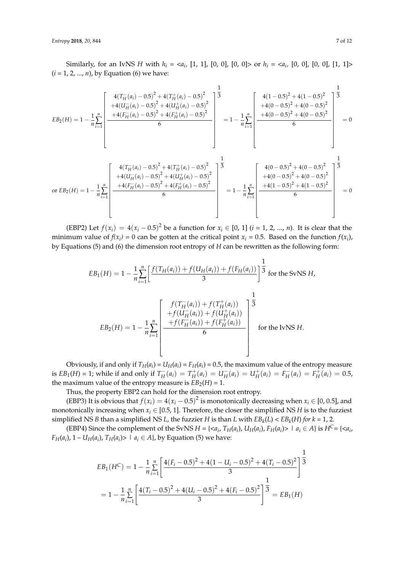Similarly, for an IvNS *H* with  $h_i = \langle a_i, [1, 1], [0, 0], [0, 0] \rangle$  or  $h_i = \langle a_i, [0, 0], [0, 0], [1, 1] \rangle$ (*i* = 1, 2, ..., *n*), by Equation (6) we have:

$$
EB_{2}(H) = 1 - \frac{1}{n} \sum_{i=1}^{n} \left[ \frac{4(T_{H}^{-}(a_{i}) - 0.5)^{2} + 4(T_{H}^{+}(a_{i}) - 0.5)^{2}}{+4(F_{H}^{-}(a_{i}) - 0.5)^{2} + 4(F_{H}^{+}(a_{i}) - 0.5)^{2}} \right] \frac{1}{3}
$$
\n
$$
EB_{2}(H) = 1 - \frac{1}{n} \sum_{i=1}^{n} \left[ \frac{4(T_{H}^{-}(a_{i}) - 0.5)^{2} + 4(T_{H}^{+}(a_{i}) - 0.5)^{2}}{6} \right] = 1 - \frac{1}{n} \sum_{i=1}^{n} \left[ \frac{4(0 - 0.5)^{2} + 4(0 - 0.5)^{2}}{6} \right] = 0
$$
\n
$$
GE_{2}(H) = 1 - \frac{1}{n} \sum_{i=1}^{n} \left[ \frac{4(T_{H}^{-}(a_{i}) - 0.5)^{2} + 4(T_{H}^{+}(a_{i}) - 0.5)^{2}}{6} \right] = 1 - \frac{1}{n} \sum_{i=1}^{n} \left[ \frac{4(0 - 0.5)^{2} + 4(0 - 0.5)^{2}}{6} \right] = 0
$$
\n
$$
GE_{2}(H) = 1 - \frac{1}{n} \sum_{i=1}^{n} \left[ \frac{4(T_{H}^{-}(a_{i}) - 0.5)^{2} + 4(T_{H}^{+}(a_{i}) - 0.5)^{2}}{6} \right] = 1 - \frac{1}{n} \sum_{i=1}^{n} \left[ \frac{4(0 - 0.5)^{2} + 4(0 - 0.5)^{2}}{6} + 4(0 - 0.5)^{2} + 4(0 - 0.5)^{2} \right] = 0
$$

(EBP2) Let  $f(x_i) = 4(x_i - 0.5)^2$  be a function for  $x_i \in [0, 1]$  (*i* = 1, 2, ..., *n*). It is clear that the minimum value of  $f(x_i) = 0$  can be gotten at the critical point  $x_i = 0.5$ . Based on the function  $f(x_i)$ , by Equations (5) and (6) the dimension root entropy of *H* can be rewritten as the following form:

$$
EB_1(H) = 1 - \frac{1}{n} \sum_{i=1}^{n} \left[ \frac{f(T_H(a_i)) + f(U_H(a_i)) + f(F_H(a_i))}{3} \right]^{\frac{1}{3}} \text{ for the Swiss } H,
$$
  

$$
EB_2(H) = 1 - \frac{1}{n} \sum_{i=1}^{n} \left[ \frac{f(T_H^-(a_i)) + f(T_H^+(a_i))}{+f(U_H^-(a_i)) + f(U_H^+(a_i))} \right]^{\frac{1}{3}}
$$
  

$$
EB_2(H) = 1 - \frac{1}{n} \sum_{i=1}^{n} \left[ \frac{+f(F_H^-(a_i)) + f(F_H^+(a_i))}{6} \right] \text{ for the IvNS } H.
$$

Obviously, if and only if  $T_H(a_i) = U_H(a_i) = F_H(a_i) = 0.5$ , the maximum value of the entropy measure is  $EB_1(H) = 1$ ; while if and only if  $T_H^-(a_i) = T_H^+(a_i) = U_H^-(a_i) = U_H^+(a_i) = F_H^-(a_i) = F_H^+(a_i) = 0.5$ , the maximum value of the entropy measure is  $EB_2(H) = 1$ .

Thus, the property EBP2 can hold for the dimension root entropy.

(EBP3) It is obvious that  $f(x_i) = 4(x_i - 0.5)^2$  is monotonically decreasing when  $x_i \in [0, 0.5]$ , and monotonically increasing when  $x_i \in [0.5, 1]$ . Therefore, the closer the simplified NS *H* is to the fuzziest simplified NS *B* than a simplified NS *L*, the fuzzier *H* is than *L* with  $EB_k(L) < EB_k(H)$  *for k* = 1, 2*.* 

(EBP4) Since the complement of the SvNS  $H = \{ \langle a_i, T_H(a_i), U_H(a_i), F_H(a_i) \rangle \mid a_i \in A \}$  is  $H^C = \{ \langle a_i, T_H(a_i), U_H(a_i), F_H(a_i) \rangle \mid a_i \in A \}$ *F*<sub>*H*</sub>(*a*<sub>*i*</sub>), 1 – *U<sub>H</sub>*(*a*<sub>*i*</sub>), *T*<sub>*H*</sub>(*a*<sub>*i*</sub>)>  $\mid$  *a*<sub>*i*</sub>  $\in$  *A*}, by Equation (5) we have:

$$
EB_1(H^C) = 1 - \frac{1}{n} \sum_{i=1}^n \left[ \frac{4(F_i - 0.5)^2 + 4(1 - U_i - 0.5)^2 + 4(T_i - 0.5)^2}{3} \right]^{\frac{1}{3}}
$$
  
=  $1 - \frac{1}{n} \sum_{i=1}^n \left[ \frac{4(T_i - 0.5)^2 + 4(U_i - 0.5)^2 + 4(F_i - 0.5)^2}{3} \right]^{\frac{1}{3}} = EB_1(H)$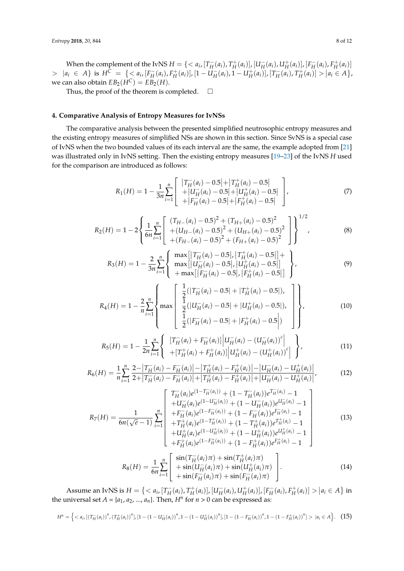When the complement of the IvNS  $H = \{$  $> |a_i \in A|$  is  $H^C = \{ \langle a_i, [F_H^-(a_i), F_H^+(a_i)], [1 - U_H^-(a_i), 1 - U_H^+(a_i)], [T_H^-(a_i), T_H^+(a_i)] \rangle | a_i \in A \},$ we can also obtain  $EB_2(H^C) = EB_2(H)$ .

Thus, the proof of the theorem is completed.  $\Box$ 

# <span id="page-7-0"></span>**4. Comparative Analysis of Entropy Measures for IvNSs**

The comparative analysis between the presented simplified neutrosophic entropy measures and the existing entropy measures of simplified NSs are shown in this section. Since SvNS is a special case of IvNS when the two bounded values of its each interval are the same, the example adopted from [\[21\]](#page-11-19) was illustrated only in IvNS setting. Then the existing entropy measures [\[19](#page-11-17)[–23\]](#page-11-21) of the IvNS *H* used for the comparison are introduced as follows:

$$
R_1(H) = 1 - \frac{1}{3n} \sum_{i=1}^{n} \begin{bmatrix} |T_H^{-}(a_i) - 0.5| + |T_H^{+}(a_i) - 0.5| \\ + |U_H^{-}(a_i) - 0.5| + |U_H^{+}(a_i) - 0.5| \\ + |F_H^{-}(a_i) - 0.5| + |F_H^{+}(a_i) - 0.5| \end{bmatrix},
$$
\n(7)

$$
R_2(H) = 1 - 2 \left\{ \frac{1}{6n} \sum_{i=1}^n \left[ \begin{array}{l} (T_{H-}(a_i) - 0.5)^2 + (T_{H+}(a_i) - 0.5)^2 \\ + (U_{H-}(a_i) - 0.5)^2 + (U_{H+}(a_i) - 0.5)^2 \\ + (F_{H-}(a_i) - 0.5)^2 + (F_{H+}(a_i) - 0.5)^2 \end{array} \right] \right\}^{1/2},
$$
(8)

$$
R_3(H) = 1 - \frac{2}{3n} \sum_{i=1}^{n} \left\{ \begin{array}{l} \max[|T_H(a_i) - 0.5|, |T_H^+(a_i) - 0.5|] + \\ \max[|U_H^-(a_i) - 0.5|, |U_H^+(a_i) - 0.5|] \\ + \max[|F_H^-(a_i) - 0.5|, |F_H^+(a_i) - 0.5|] \end{array} \right\},
$$
\n(9)

$$
R_4(H) = 1 - \frac{2}{n} \sum_{i=1}^{n} \left\{ \max \left\{ \frac{\frac{1}{2}(|T_H^-(a_i) - 0.5| + |T_H^+(a_i) - 0.5|)}{\frac{1}{2}(|U_H^-(a_i) - 0.5| + |U_H^+(a_i) - 0.5|)} \right\} \right\},
$$
(10)

$$
R_5(H) = 1 - \frac{1}{2n} \sum_{i=1}^n \left\{ \begin{array}{l} \left[ T_H^-(a_i) + F_H^-(a_i) \right] \left| U_H^-(a_i) - \left( U_H^-(a_i) \right)^c \right| \\ + \left[ T_H^+(a_i) + F_H^+(a_i) \right] \left| U_H^+(a_i) - \left( U_H^+(a_i) \right)^c \right| \end{array} \right\},\tag{11}
$$

$$
R_6(H) = \frac{1}{n} \sum_{i=1}^n \frac{2 - |T_H^-(a_i) - F_H^-(a_i)| - |T_H^+(a_i) - F_H^+(a_i)| - |U_H^-(a_i) - U_H^+(a_i)|}{2 + |T_H^-(a_i) - F_H^-(a_i)| + |T_H^+(a_i) - F_H^+(a_i)| + |U_H^-(a_i) - U_H^+(a_i)|},
$$
(12)

$$
R_{7}(H) = \frac{1}{6n(\sqrt{e}-1)} \sum_{i=1}^{n} \begin{bmatrix} T_{H}^{-}(a_{i})e^{(1-T_{H}^{-}(a_{i}))} + (1-T_{H}^{-}(a_{i}))e^{T_{H}^{-}(a_{i})} - 1 \\ +U_{H}^{-}(a_{i})e^{(1-U_{H}^{-}(a_{i}))} + (1-U_{H}^{-}(a_{i}))e^{U_{H}^{-}(a_{i})} - 1 \\ +F_{H}^{-}(a_{i})e^{(1-T_{H}^{-}(a_{i}))} + (1-F_{H}^{-}(a_{i}))e^{F_{H}^{-}(a_{i})} - 1 \\ +T_{H}^{+}(a_{i})e^{(1-T_{H}^{+}(a_{i}))} + (1-T_{H}^{+}(a_{i}))e^{T_{H}^{+}(a_{i})} - 1 \\ +U_{H}^{+}(a_{i})e^{(1-U_{H}^{+}(a_{i}))} + (1-U_{H}^{+}(a_{i}))e^{U_{H}^{+}(a_{i})} - 1 \\ +F_{H}^{+}(a_{i})e^{(1-T_{H}^{+}(a_{i}))} + (1-F_{H}^{+}(a_{i}))e^{F_{H}^{+}(a_{i})} - 1 \end{bmatrix}
$$
(13)

$$
R_8(H) = \frac{1}{6n} \sum_{i=1}^n \begin{bmatrix} \sin(T_H^-(a_i)\pi) + \sin(T_H^+(a_i)\pi) \\ + \sin(U_H^-(a_i)\pi) + \sin(U_H^+(a_i)\pi) \\ + \sin(F_H^-(a_i)\pi) + \sin(F_H^-(a_i)\pi) \end{bmatrix} . \tag{14}
$$

Assume an IvNS is  $H = \{ \langle a_i, [T_H^-(a_i), T_H^+(a_i)], [U_H^-(a_i), U_H^+(a_i)], [F_H^-(a_i), F_H^+(a_i)] \rangle | a_i \in A \}$  in the universal set  $A = \{a_1, a_2, ..., a_n\}$ . Then,  $H^n$  for  $n > 0$  can be expressed as:

$$
H^{n} = \left\{ \langle a_{i}, \left[ \left( T_{H}^{-}(a_{i}) \right)^{n}, \left( T_{H}^{+}(a_{i}) \right)^{n} \right], \left[ 1 - \left( 1 - U_{H}^{-}(a_{i}) \right)^{n}, 1 - \left( 1 - U_{H}^{+}(a_{i}) \right)^{n} \right], \left[ 1 - \left( 1 - F_{H}^{-}(a_{i}) \right)^{n}, 1 - \left( 1 - F_{H}^{+}(a_{i}) \right)^{n} \right] > |a_{i} \in A \right\}.
$$
 (15)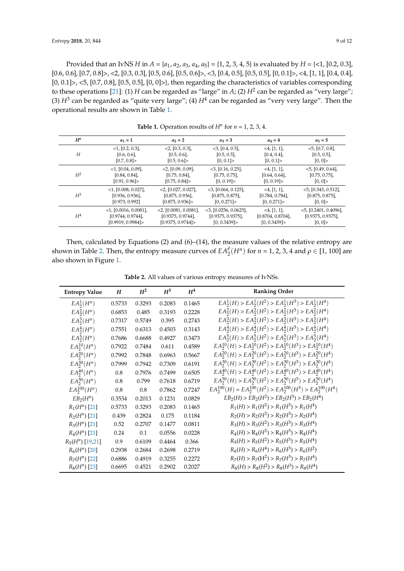Provided that an IvNS *H* in  $A = \{a_1, a_2, a_3, a_4, a_5\} = \{1, 2, 3, 4, 5\}$  is evaluated by  $H = \{\le 1, [0.2, 0.3],$  $[0.6, 0.6]$ ,  $[0.7, 0.8]$  >, <2,  $[0.3, 0.3]$ ,  $[0.5, 0.6]$ ,  $[0.5, 0.6]$  >, <3,  $[0.4, 0.5]$ ,  $[0.5, 0.5]$ ,  $[0, 0.1]$  >, <4,  $[1, 1]$ ,  $[0.4, 0.4]$ , [0, 0.1]>, <5, [0.7, 0.8], [0.5, 0.5], [0, 0]>}, then regarding the characteristics of variables corresponding to these operations [\[21\]](#page-11-19): (1) *H* can be regarded as "large" in *A*; (2)  $H^2$  can be regarded as "very large"; (3)  $H^3$  can be regarded as "quite very large"; (4)  $H^4$  can be regarded as "very very large". Then the operational results are shown in Table [1.](#page-8-0)

<span id="page-8-0"></span>

| $H^n$ | $a_1 = 1$                | $a_2 = 2$                | $a_3 = 3$                | $a_4 = 4$        | $a_5 = 5$                |
|-------|--------------------------|--------------------------|--------------------------|------------------|--------------------------|
| H     | $<1$ , [0.2, 0.3],       | $<$ 2, [0.3, 0.3],       | $<$ 3, [0.4, 0.5],       | $<$ 4, [1, 1],   | $<$ 5, [0.7, 0.8],       |
|       | [0.6, 0.6]               | [0.5, 0.6]               | [0.5, 0.5]               | [0.4, 0.4]       | [0.5, 0.5]               |
|       | [0.7, 0.8]               | [0.5, 0.6]               | [0, 0.1]                 | [0, 0.1]         | [0, 0]                   |
| $H^2$ | $<1,$ [0.04, 0.09],      | $<$ 2, [0.09, 0.09],     | $<$ 3, [0.16, 0.25],     | $<$ 4, [1, 1],   | $<$ 5, [0.49, 0.64],     |
|       | [0.84, 0.84]             | [0.75, 0.84]             | [0.75, 0.75]             | $[0.64, 0.64]$ , | [0.75, 0.75]             |
|       | [0.91, 0.96]             | [0.75, 0.84]             | [0, 0.19]                | [0, 0.19]        | [0, 0]                   |
| $H^3$ | $<$ 1, [0.008, 0.027],   | $<$ 2, [0.027, 0.027],   | $<$ 3, [0.064, 0.125],   | $<$ 4, [1, 1],   | $<$ 5, [0.343, 0.512],   |
|       | [0.936, 0.936]           | [0.875, 0.936]           | [0.875, 0.875]           | [0.784, 0.784]   | [0.875, 0.875]           |
|       | [0.973, 0.992]           | [0.875, 0.936]           | [0, 0.271]               | [0, 0.271]       | [0, 0]                   |
| $H^4$ | $<$ 1, [0.0016, 0.0081], | $<$ 2, [0.0081, 0.0081], | $<$ 3, [0.0256, 0.0625], | $<$ 4, [1, 1],   | $<$ 5, [0.2401, 0.4096], |
|       | $[0.9744, 0.9744]$ ,     | $[0.9375, 0.9744]$ ,     | [0.9375, 0.9375]         | [0.8704, 0.8704] | [0.9375, 0.9375]         |
|       | [0.9919, 0.9984]         | [0.9375, 0.9744]         | [0, 0.3439]              | [0, 0.3439]      | [0, 0]                   |

**Table 1.** Operation results of  $H^n$  for  $n = 1, 2, 3, 4$ .

Then, calculated by Equations (2) and (6)–(14), the measure values of the relative entropy are shown in Table [2.](#page-8-1) Then, the entropy measure curves of  $EA_2^{\rho}(H^n)$  for  $n = 1, 2, 3, 4$  and  $\rho \in [1, 100]$  are also shown in Figure [1.](#page-9-1)

**Table 2.** All values of various entropy measures of IvNSs.

<span id="page-8-1"></span>

| <b>Entropy Value</b> | $\boldsymbol{H}$ | $H^2$  | $H^3$  | $H^4$  | <b>Ranking Order</b>                                                  |
|----------------------|------------------|--------|--------|--------|-----------------------------------------------------------------------|
| $EA^1_2(H^n)$        | 0.5733           | 0.3293 | 0.2083 | 0.1465 | $EA_2^1(H) > EA_2^1(H^2) > EA_2^1(H^3) > EA_2^1(H^4)$                 |
| $EA^2_2(H^n)$        | 0.6853           | 0.485  | 0.3193 | 0.2228 | $EA_2^2(H) > EA_2^2(H^2) > EA_2^2(H^3) > EA_2^2(H^4)$                 |
| $EA_2^3(H^n)$        | 0.7317           | 0.5749 | 0.395  | 0.2743 | $EA_2^3(H) > EA_2^3(H^2) > EA_2^3(H^3) > EA_2^3(H^4)$                 |
| $EA^4_2(H^n)$        | 0.7551           | 0.6313 | 0.4503 | 0.3143 | $EA_2^4(H) > EA_2^4(H^2) > EA_2^4(H^3) > EA_2^4(H^4)$                 |
| $EA_2^5(H^n)$        | 0.7686           | 0.6688 | 0.4927 | 0.3473 | $EA_2^5(H) > EA_2^5(H^2) > EA_2^5(H^3) > EA_2^5(H^4)$                 |
| $EA^{10}_2(H^n)$     | 0.7922           | 0.7484 | 0.611  | 0.4589 | $EA_2^{10}(H) > EA_2^{10}(H^2) > EA_2^{10}(H^3) > EA_2^{10}(H^4)$     |
| $EA^{20}_2(H^n)$     | 0.7992           | 0.7848 | 0.6963 | 0.5667 | $EA_2^{20}(H) > EA_2^{20}(H^2) > EA_2^{20}(H^3) > EA_2^{20}(H^4)$     |
| $EA_2^{30}(H^n)$     | 0.7999           | 0.7942 | 0.7309 | 0.6191 | $EA_2^{30}(H) > EA_2^{30}(H^2) > EA_2^{30}(H^3) > EA_2^{30}(H^4)$     |
| $EA_2^{40}(H^n)$     | 0.8              | 0.7976 | 0.7499 | 0.6505 | $EA_2^{40}(H) > EA_2^{40}(H^2) > EA_2^{40}(H^3) > EA_2^{40}(H^4)$     |
| $EA_2^{50}(H^n)$     | 0.8              | 0.799  | 0.7618 | 0.6719 | $EA_2^{50}(H) > EA_2^{50}(H^2) > EA_2^{50}(H^3) > EA_2^{50}(H^4)$     |
| $EA_2^{100}(H^n)$    | $0.8\,$          | 0.8    | 0.7862 | 0.7247 | $EA_2^{100}(H) = EA_2^{100}(H^2) > EA_2^{100}(H^3) > EA_2^{100}(H^4)$ |
| $EB_2(H^n)$          | 0.3534           | 0.2013 | 0.1231 | 0.0829 | $EB_2(H)$ > $EB_2(H^2)$ > $EB_2(H^3)$ > $EB_2(H^4)$                   |
| $R_1(H^n)$ [21]      | 0.5733           | 0.3293 | 0.2083 | 0.1465 | $R_1(H) > R_1(H^2) > R_1(H^3) > R_1(H^4)$                             |
| $R_2(H^n)$ [21]      | 0.439            | 0.2824 | 0.175  | 0.1184 | $R_2(H) > R_2(H^2) > R_2(H^3) > R_2(H^4)$                             |
| $R_3(H^n)$ [21]      | 0.52             | 0.2707 | 0.1477 | 0.0811 | $R_3(H) > R_3(H^2) > R_3(H^3) > R_3(H^4)$                             |
| $R_4(H^n)$ [21]      | 0.24             | 0.1    | 0.0556 | 0.0228 | $R_4(H) > R_4(H^2) > R_4(H^3) > R_4(H^4)$                             |
| $R_5(H^n)$ [19,21]   | 0.9              | 0.6109 | 0.4464 | 0.366  | $R_5(H) > R_5(H^2) > R_5(H^3) > R_5(H^4)$                             |
| $R_6(H^n)$ [20]      | 0.2938           | 0.2684 | 0.2698 | 0.2719 | $R_6(H) > R_6(H^4) > R_6(H^3) > R_6(H^2)$                             |
| $R_7(H^n)$ [22]      | 0.6886           | 0.4919 | 0.3255 | 0.2272 | $R_7(H) > R_7(H^2) > R_7(H^3) > R_7(H^4)$                             |
| $R_8(H^n)$ [23]      | 0.6695           | 0.4521 | 0.2902 | 0.2027 | $R_8(H) > R_8(H^2) > R_8(H^3) > R_8(H^4)$                             |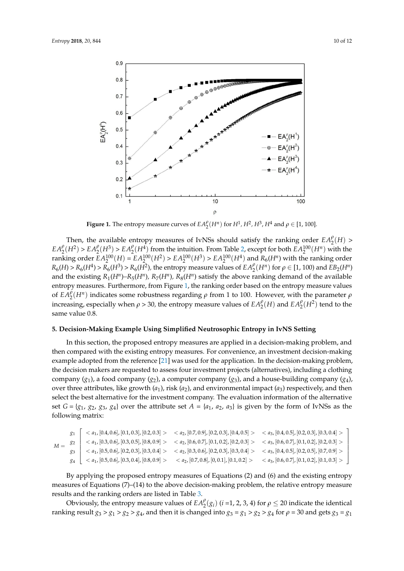<span id="page-9-1"></span>

**Figure 1.** The entropy measure curves of  $EA_2^{\rho}(H^n)$  for  $H^1$ ,  $H^2$ ,  $H^3$ ,  $H^4$  and  $\rho \in [1, 100]$ .

Then, the available entropy measures of IvNSs should satisfy the ranking order  $EA_2^{\rho}(H)$  >  $EA_2^{\rho}(H^2) > EA_2^{\rho}(H^3) > EA_2^{\rho}(H^4)$  from the intuition. From Table [2,](#page-8-1) except for both  $EA_2^{100}(H^n)$  with the ranking order  $EA_2^{100}(H) = EA_2^{100}(H^2) > EA_2^{100}(H^3) > EA_2^{100}(H^4)$  and  $R_6(H^n)$  with the ranking order  $dH_0 = \frac{p}{\mu^2}$  (H<sub>3</sub>),  $p_{\mu}$  (H<sub>1</sub>2) the entropy measure values of  $\int_R A^{\rho}(H^n)$  for  $\theta \in [1, 100)$  and  $R_6(H) > R_6(H^4) > R_6(H^3) > R_6(H^2)$ , the entropy measure values of  $EA_2^{\rho}(H^n)$  for  $\rho \in [1, 100)$  and  $EB_2(H^n)$ and the existing  $R_1(H^n)$ – $R_5(H^n)$ ,  $R_7(H^n)$ ,  $R_8(H^n)$  satisfy the above ranking demand of the available entropy measures. Furthermore*,* from Figure [1,](#page-9-1) the ranking order based on the entropy measure values of  $EA_2^{\rho}(H^n)$  indicates some robustness regarding  $\rho$  from 1 to 100. However, with the parameter  $\rho$ compaigly when  $25.20$  the entropy measure values of  $F A^{\beta}(H)$  and  $F A^{\beta}(H^2)$  to increasing, especially when  $\rho > 30$ , the entropy measure values of  $EA_2^{\rho}(H)$  and  $EA_2^{\rho}(H^2)$  tend to the same value 0.8.

#### <span id="page-9-0"></span> $\overline{1}$   $\overline{1}$   $\overline{2}$   $\overline{1}$   $\overline{2}$   $\overline{1}$   $\overline{2}$   $\overline{2}$   $\overline{2}$   $\overline{2}$   $\overline{2}$   $\overline{2}$   $\overline{2}$   $\overline{2}$   $\overline{2}$   $\overline{2}$   $\overline{2}$   $\overline{2}$   $\overline{2}$   $\overline{2}$   $\overline{2}$   $\overline{2}$   $\overline{2}$   $\overline{2}$   $\overline{$ 7 king Example Using Simplified Neutrosophic Entropy in I<sup>,</sup> ng Example Using Simplified Neutrosophic Er 1 2 3  $\overline{2}$ ,[0.5 0.6] [0.2 0.3] [0.3 0.4] ,[0.3,0.6],[0.2,0.3],[0.3,0.4] ,[0.4,0.5],[0.2,0.4],[0.7,0.9] *a a a* 5. Decision-Making Example Using Simplified Neutrosophic Entropy in IvNS Setting

In this section, the proposed entropy measures are applied in a decision-making problem, and then compared with the existing entropy measures. For convenience, an investment decision-making example adopted from the reference [\[21\]](#page-11-19) was used for the application. In the decision-making problem, the decision makers are requested to assess four investment projects (alternatives), including a clothing company  $(g_1)$ , a food company  $(g_2)$ , a computer company  $(g_3)$ , and a house-building company  $(g_4)$ ,  $\alpha$ <sup>1</sup>  $\alpha$ <sup>1</sup>  $\beta$   $\beta$   $\alpha$   $\beta$   $\gamma$   $\alpha$ <sup>2</sup>,  $\beta$ <sub>2</sub>  $\beta$   $\gamma$ <sup>2</sup>  $\alpha$ <sup>3</sup>  $\alpha$ <sup>3</sup>  $\beta$ <sup>2</sup>  $\alpha$ <sup>3</sup>  $\beta$ <sup>3</sup>  $\alpha$ <sup>3</sup>  $\beta$ <sup>3</sup>  $\alpha$ <sup>3</sup>  $\beta$ <sup>3</sup>  $\alpha$ <sup>3</sup>  $\beta$ <sup>3</sup>  $\alpha$ <sup>3</sup>  $\beta$ <sup>3</sup>  $\alpha$ <sup>3</sup>  $\beta$   $\beta$   $\alpha$ <sup>3</sup> $\beta$   $\beta$   $\beta$ <sup>3</sup> $\beta$ over three attributes, like growth  $(a_1)$ , risk  $(a_2)$ , and environmental impact  $(a_3)$  respectively, and then  $\frac{1}{2}$ select the best alternative for the investment company. The evaluation information of the alternative  $\sigma$ set  $G = \{g_1, g_2, g_3, g_4\}$  over the attribute set  $A = \{a_1, a_2, a_3\}$  is given by the form of IvNSs as the have the same ranking order *g*<sup>3</sup> > *g*<sup>1</sup> > *g*<sup>2</sup> > *g*4; while that of *R*6(*gi*) is *g*<sup>3</sup> > *g*<sup>1</sup> > *g*<sup>4</sup> > *g*2*.* Anyway, the best following matrix:

| $M = \begin{bmatrix} 82 \end{bmatrix}$ | $\left[ \begin{array}{cc} a_1, [0.4, 0.6], [0.1, 0.3], [0.2, 0.3] > \end{array} \right. < a_2, [0.7, 0.9], [0.2, 0.3], [0.4, 0.5] > \left[ \begin{array}{cc} a_3, [0.4, 0.5], [0.2, 0.3], [0.3, 0.4] > a_4$ |                                                                                                                     |                                                           |
|----------------------------------------|-------------------------------------------------------------------------------------------------------------------------------------------------------------------------------------------------------------|---------------------------------------------------------------------------------------------------------------------|-----------------------------------------------------------|
|                                        |                                                                                                                                                                                                             | $\newline \newline \newline$                                                                                        |                                                           |
|                                        | $\langle a_1, [0.5, 0.6], [0.2, 0.3], [0.3, 0.4] \rangle$                                                                                                                                                   | $\langle a_2, [0.3, 0.6], [0.2, 0.3], [0.3, 0.4] \rangle$ $\langle a_3, [0.4, 0.5], [0.2, 0.5], [0.7, 0.9] \rangle$ |                                                           |
|                                        | $g_4$   < $a_1$ , [0.5, 0.6], [0.3, 0.4], [0.8, 0.9] >                                                                                                                                                      | $\langle a_2, [0.7, 0.8], [0, 0.1], [0.1, 0.2] \rangle$                                                             | $\langle a_3, [0.6, 0.7], [0.1, 0.2], [0.1, 0.3] \rangle$ |

By applying the proposed entropy measures of Equations (2) and (6) and the existing entropy measures of Equations (7)–(14) to the above decision-making problem, the relative entropy measure results and the ranking orders are listed in Table [3.](#page-10-2)

Obviously, the entropy measure values of  $EA_2^{\rho}(g_i)$  (*i* =1, 2, 3, 4) for  $\rho \leq 20$  indicate the identical ranking result  $g_3 > g_1 > g_2 > g_4$ , and then it is changed into  $g_3 = g_1 > g_2 > g_4$  for  $\rho = 30$  and gets  $g_3 = g_1$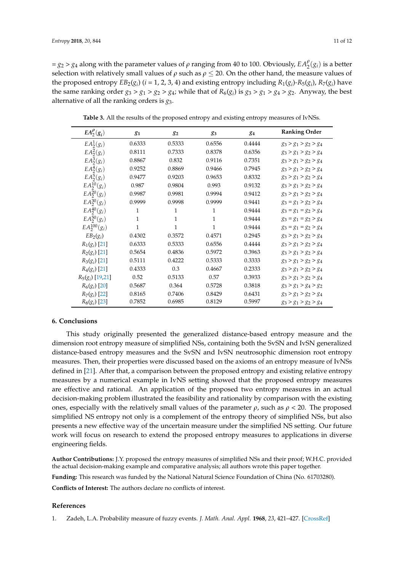$= g_2 > g_4$  along with the parameter values of  $\rho$  ranging from 40 to 100. Obviously,  $EA_2^{\rho}(g_i)$  is a better selection with relatively small values of  $\rho$  such as  $\rho \leq 20$ . On the other hand, the measure values of the proposed entropy  $EB_2(g_i)$  ( $i = 1, 2, 3, 4$ ) and existing entropy including  $R_1(g_i)$ - $R_5(g_i)$ ,  $R_7(g_i)$  have the same ranking order  $g_3 > g_1 > g_2 > g_4$ ; while that of  $R_6(g_i)$  is  $g_3 > g_1 > g_4 > g_2$ . Anyway, the best alternative of all the ranking orders is *g*3.

<span id="page-10-2"></span>

| $EA_2^{\rho}(g_i)$ | 81           | 82     | 83     | 84     | <b>Ranking Order</b>    |
|--------------------|--------------|--------|--------|--------|-------------------------|
| $EA_2^1(g_i)$      | 0.6333       | 0.5333 | 0.6556 | 0.4444 | $g_3 > g_1 > g_2 > g_4$ |
| $EA_2^2(g_i)$      | 0.8111       | 0.7333 | 0.8378 | 0.6356 | $g_3 > g_1 > g_2 > g_4$ |
| $EA_2^3(g_i)$      | 0.8867       | 0.832  | 0.9116 | 0.7351 | $g_3 > g_1 > g_2 > g_4$ |
| $EA_2^4(g_i)$      | 0.9252       | 0.8869 | 0.9466 | 0.7945 | $g_3 > g_1 > g_2 > g_4$ |
| $EA_2^5(g_i)$      | 0.9477       | 0.9203 | 0.9653 | 0.8332 | $g_3 > g_1 > g_2 > g_4$ |
| $EA_2^{10}(g_i)$   | 0.987        | 0.9804 | 0.993  | 0.9132 | $g_3 > g_1 > g_2 > g_4$ |
| $EA_2^{20}(g_i)$   | 0.9987       | 0.9981 | 0.9994 | 0.9412 | $g_3 > g_1 > g_2 > g_4$ |
| $EA_2^{30}(g_i)$   | 0.9999       | 0.9998 | 0.9999 | 0.9441 | $g_3 = g_1 > g_2 > g_4$ |
| $EA_2^{40}(g_i)$   | 1            | 1      | 1      | 0.9444 | $g_3 = g_1 = g_2 > g_4$ |
| $EA_2^{50}(g_i)$   | $\mathbf{1}$ | 1      | 1      | 0.9444 | $g_3 = g_1 = g_2 > g_4$ |
| $EA_2^{100}(g_i)$  | 1            | 1      | 1      | 0.9444 | $g_3 = g_1 = g_2 > g_4$ |
| $EB_2(g_i)$        | 0.4302       | 0.3572 | 0.4571 | 0.2945 | $g_3 > g_1 > g_2 > g_4$ |
| $R_1(g_i)$ [21]    | 0.6333       | 0.5333 | 0.6556 | 0.4444 | $g_3 > g_1 > g_2 > g_4$ |
| $R_2(g_i)$ [21]    | 0.5654       | 0.4836 | 0.5972 | 0.3963 | $g_3 > g_1 > g_2 > g_4$ |
| $R_3(g_i)$ [21]    | 0.5111       | 0.4222 | 0.5333 | 0.3333 | $g_3 > g_1 > g_2 > g_4$ |
| $R_4(g_i)$ [21]    | 0.4333       | 0.3    | 0.4667 | 0.2333 | $g_3 > g_1 > g_2 > g_4$ |
| $R_5(g_i)$ [19,21] | 0.52         | 0.5133 | 0.57   | 0.3933 | $g_3 > g_1 > g_2 > g_4$ |
| $R_6(g_i)$ [20]    | 0.5687       | 0.364  | 0.5728 | 0.3818 | $g_3 > g_1 > g_4 > g_2$ |
| $R_7(g_i)$ [22]    | 0.8165       | 0.7406 | 0.8429 | 0.6431 | $g_3 > g_1 > g_2 > g_4$ |
| $R_8(g_i)$ [23]    | 0.7852       | 0.6985 | 0.8129 | 0.5997 | $g_3 > g_1 > g_2 > g_4$ |

**Table 3.** All the results of the proposed entropy and existing entropy measures of IvNSs.

#### <span id="page-10-1"></span>**6. Conclusions**

This study originally presented the generalized distance-based entropy measure and the dimension root entropy measure of simplified NSs, containing both the SvSN and IvSN generalized distance-based entropy measures and the SvSN and IvSN neutrosophic dimension root entropy measures. Then, their properties were discussed based on the axioms of an entropy measure of IvNSs defined in [\[21\]](#page-11-19). After that, a comparison between the proposed entropy and existing relative entropy measures by a numerical example in IvNS setting showed that the proposed entropy measures are effective and rational. An application of the proposed two entropy measures in an actual decision-making problem illustrated the feasibility and rationality by comparison with the existing ones, especially with the relatively small values of the parameter  $\rho$ , such as  $\rho < 20$ . The proposed simplified NS entropy not only is a complement of the entropy theory of simplified NSs, but also presents a new effective way of the uncertain measure under the simplified NS setting. Our future work will focus on research to extend the proposed entropy measures to applications in diverse engineering fields.

**Author Contributions:** J.Y. proposed the entropy measures of simplified NSs and their proof; W.H.C. provided the actual decision-making example and comparative analysis; all authors wrote this paper together.

**Funding:** This research was funded by the National Natural Science Foundation of China (No. 61703280).

**Conflicts of Interest:** The authors declare no conflicts of interest.

#### **References**

<span id="page-10-0"></span>1. Zadeh, L.A. Probability measure of fuzzy events. *J. Math. Anal. Appl.* **1968**, *23*, 421–427. [\[CrossRef\]](http://dx.doi.org/10.1016/0022-247X(68)90078-4)